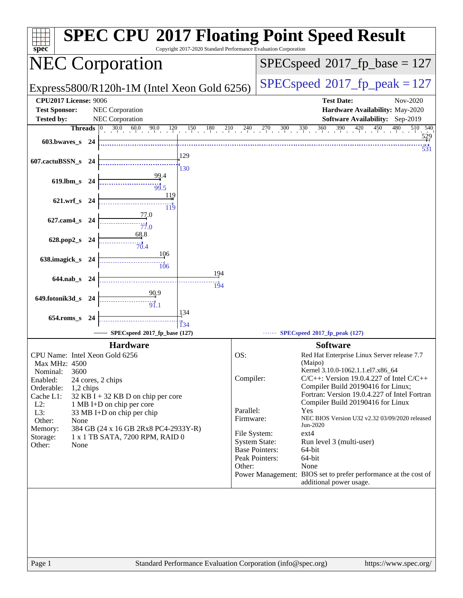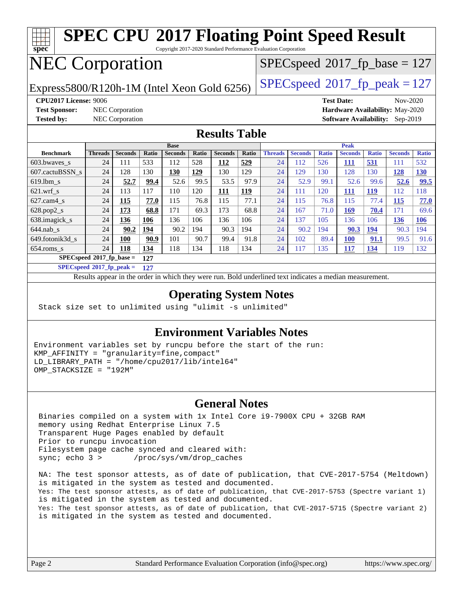| <b>SPEC CPU®2017 Floating Point Speed Result</b><br>spec<br>Copyright 2017-2020 Standard Performance Evaluation Corporation |                                                                     |                |       |                |       |                                        |       |                                         |                |              |                |              |                |              |
|-----------------------------------------------------------------------------------------------------------------------------|---------------------------------------------------------------------|----------------|-------|----------------|-------|----------------------------------------|-------|-----------------------------------------|----------------|--------------|----------------|--------------|----------------|--------------|
| <b>NEC Corporation</b>                                                                                                      |                                                                     |                |       |                |       | $SPEC speed^{\circ}2017$ fp base = 127 |       |                                         |                |              |                |              |                |              |
| Express5800/R120h-1M (Intel Xeon Gold 6256)                                                                                 |                                                                     |                |       |                |       |                                        |       | $SPEC speed^{\circ}2017$ _fp_peak = 127 |                |              |                |              |                |              |
| <b>CPU2017 License: 9006</b><br><b>Test Date:</b><br>Nov-2020                                                               |                                                                     |                |       |                |       |                                        |       |                                         |                |              |                |              |                |              |
| <b>Test Sponsor:</b><br><b>NEC</b> Corporation<br>Hardware Availability: May-2020                                           |                                                                     |                |       |                |       |                                        |       |                                         |                |              |                |              |                |              |
| <b>Tested by:</b>                                                                                                           | <b>NEC</b> Corporation<br><b>Software Availability:</b><br>Sep-2019 |                |       |                |       |                                        |       |                                         |                |              |                |              |                |              |
| <b>Results Table</b>                                                                                                        |                                                                     |                |       |                |       |                                        |       |                                         |                |              |                |              |                |              |
|                                                                                                                             |                                                                     |                |       | <b>Base</b>    |       |                                        |       |                                         |                |              | <b>Peak</b>    |              |                |              |
| <b>Benchmark</b>                                                                                                            | <b>Threads</b>                                                      | <b>Seconds</b> | Ratio | <b>Seconds</b> | Ratio | <b>Seconds</b>                         | Ratio | <b>Threads</b>                          | <b>Seconds</b> | <b>Ratio</b> | <b>Seconds</b> | <b>Ratio</b> | <b>Seconds</b> | <b>Ratio</b> |
| 603.bwaves s                                                                                                                | 24                                                                  | 111            | 533   | 112            | 528   | 112                                    | 529   | 24                                      | 112            | 526          | 111            | 531          | 111            | 532          |
| 607.cactuBSSN s                                                                                                             | 24                                                                  | 128            | 130   | 130            | 129   | 130                                    | 129   | 24                                      | 129            | 130          | 128            | 130          | <b>128</b>     | <b>130</b>   |
| 619.1bm s                                                                                                                   | 24                                                                  | 52.7           | 99.4  | 52.6           | 99.5  | 53.5                                   | 97.9  | 24                                      | 52.9           | 99.1         | 52.6           | 99.6         | 52.6           | 99.5         |
| $621.wrf$ s                                                                                                                 | 24                                                                  | 113            | 117   | 110            | 120   | 111                                    | 119   | 24                                      | 111            | 120          | 111            | 119          | 112            | 118          |
| $627$ .cam4 s                                                                                                               | 24                                                                  | 115            | 77.0  | 115            | 76.8  | 115                                    | 77.1  | 24                                      | 115            | 76.8         | 115            | 77.4         | 115            | 77.0         |
| 628.pop2_s                                                                                                                  | 24                                                                  | 173            | 68.8  | 171            | 69.3  | 173                                    | 68.8  | 24                                      | 167            | 71.0         | 169            | 70.4         | 171            | 69.6         |
| 638.imagick s                                                                                                               | 24                                                                  | 136            | 106   | 136            | 106   | 136                                    | 106   | 24                                      | 137            | 105          | 136            | 106          | 136            | 106          |
| $644$ .nab s                                                                                                                | 24                                                                  | 90.2           | 194   | 90.2           | 194   | 90.3                                   | 194   | 24                                      | 90.2           | 194          | 90.3           | 194          | 90.3           | 194          |
| 649.fotonik3d s                                                                                                             | 24                                                                  | <b>100</b>     | 90.9  | 101            | 90.7  | 99.4                                   | 91.8  | 24                                      | 102            | 89.4         | <b>100</b>     | 91.1         | 99.5           | 91.6         |
| $654$ .roms s                                                                                                               | 24                                                                  | 118            | 134   | 118            | 134   | 118                                    | 134   | 24                                      | 117            | 135          | 117            | 134          | 119            | 132          |
| $SPECspeed*2017$ fp base =<br>127                                                                                           |                                                                     |                |       |                |       |                                        |       |                                         |                |              |                |              |                |              |
| $SPECspeed*2017_fp\_peak =$<br>127                                                                                          |                                                                     |                |       |                |       |                                        |       |                                         |                |              |                |              |                |              |
| Results appear in the order in which they were run. Bold underlined text indicates a median measurement.                    |                                                                     |                |       |                |       |                                        |       |                                         |                |              |                |              |                |              |

#### **[Operating System Notes](http://www.spec.org/auto/cpu2017/Docs/result-fields.html#OperatingSystemNotes)**

Stack size set to unlimited using "ulimit -s unlimited"

#### **[Environment Variables Notes](http://www.spec.org/auto/cpu2017/Docs/result-fields.html#EnvironmentVariablesNotes)**

Environment variables set by runcpu before the start of the run: KMP\_AFFINITY = "granularity=fine,compact" LD\_LIBRARY\_PATH = "/home/cpu2017/lib/intel64" OMP\_STACKSIZE = "192M"

#### **[General Notes](http://www.spec.org/auto/cpu2017/Docs/result-fields.html#GeneralNotes)**

 Binaries compiled on a system with 1x Intel Core i9-7900X CPU + 32GB RAM memory using Redhat Enterprise Linux 7.5 Transparent Huge Pages enabled by default Prior to runcpu invocation Filesystem page cache synced and cleared with: sync; echo 3 > /proc/sys/vm/drop\_caches

 NA: The test sponsor attests, as of date of publication, that CVE-2017-5754 (Meltdown) is mitigated in the system as tested and documented. Yes: The test sponsor attests, as of date of publication, that CVE-2017-5753 (Spectre variant 1) is mitigated in the system as tested and documented. Yes: The test sponsor attests, as of date of publication, that CVE-2017-5715 (Spectre variant 2) is mitigated in the system as tested and documented.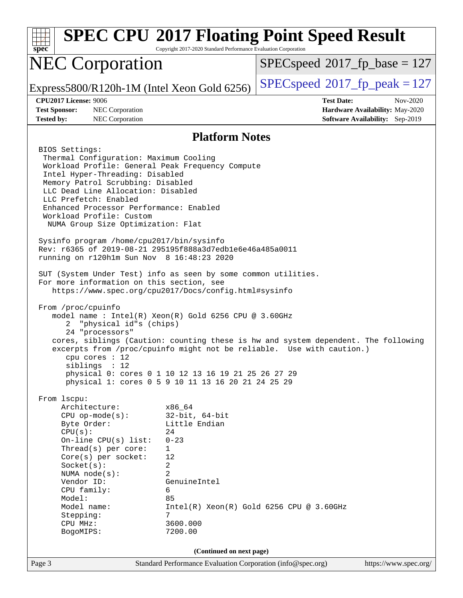| <b>SPEC CPU®2017 Floating Point Speed Result</b><br>$spec^*$                                                                                                                                                                                                                                                                                                                                                                                                                                                                                                                                                                                                                                                                                                                                                                                                                                                                                                                                                                                                                                                                                       | Copyright 2017-2020 Standard Performance Evaluation Corporation |                                                             |                                                                                |  |  |  |  |  |
|----------------------------------------------------------------------------------------------------------------------------------------------------------------------------------------------------------------------------------------------------------------------------------------------------------------------------------------------------------------------------------------------------------------------------------------------------------------------------------------------------------------------------------------------------------------------------------------------------------------------------------------------------------------------------------------------------------------------------------------------------------------------------------------------------------------------------------------------------------------------------------------------------------------------------------------------------------------------------------------------------------------------------------------------------------------------------------------------------------------------------------------------------|-----------------------------------------------------------------|-------------------------------------------------------------|--------------------------------------------------------------------------------|--|--|--|--|--|
| <b>NEC Corporation</b>                                                                                                                                                                                                                                                                                                                                                                                                                                                                                                                                                                                                                                                                                                                                                                                                                                                                                                                                                                                                                                                                                                                             | $SPEC speed^{\circ}2017\_fp\_base = 127$                        |                                                             |                                                                                |  |  |  |  |  |
| Express5800/R120h-1M (Intel Xeon Gold 6256)                                                                                                                                                                                                                                                                                                                                                                                                                                                                                                                                                                                                                                                                                                                                                                                                                                                                                                                                                                                                                                                                                                        |                                                                 | $SPEC speed^{\circ}2017$ fp peak = 127                      |                                                                                |  |  |  |  |  |
| <b>CPU2017 License: 9006</b><br><b>Test Sponsor:</b><br>NEC Corporation<br><b>Tested by:</b><br>NEC Corporation                                                                                                                                                                                                                                                                                                                                                                                                                                                                                                                                                                                                                                                                                                                                                                                                                                                                                                                                                                                                                                    |                                                                 | <b>Test Date:</b>                                           | Nov-2020<br>Hardware Availability: May-2020<br>Software Availability: Sep-2019 |  |  |  |  |  |
| <b>Platform Notes</b>                                                                                                                                                                                                                                                                                                                                                                                                                                                                                                                                                                                                                                                                                                                                                                                                                                                                                                                                                                                                                                                                                                                              |                                                                 |                                                             |                                                                                |  |  |  |  |  |
| BIOS Settings:<br>Thermal Configuration: Maximum Cooling<br>Workload Profile: General Peak Frequency Compute<br>Intel Hyper-Threading: Disabled<br>Memory Patrol Scrubbing: Disabled<br>LLC Dead Line Allocation: Disabled<br>LLC Prefetch: Enabled<br>Enhanced Processor Performance: Enabled<br>Workload Profile: Custom<br>NUMA Group Size Optimization: Flat<br>Sysinfo program /home/cpu2017/bin/sysinfo<br>Rev: r6365 of 2019-08-21 295195f888a3d7edble6e46a485a0011<br>running on r120h1m Sun Nov 8 16:48:23 2020<br>SUT (System Under Test) info as seen by some common utilities.<br>For more information on this section, see<br>https://www.spec.org/cpu2017/Docs/config.html#sysinfo<br>From /proc/cpuinfo<br>model name : Intel(R) Xeon(R) Gold 6256 CPU @ 3.60GHz<br>"physical id"s (chips)<br>2<br>24 "processors"<br>cores, siblings (Caution: counting these is hw and system dependent. The following<br>excerpts from /proc/cpuinfo might not be reliable. Use with caution.)<br>cpu cores $: 12$<br>siblings : 12<br>physical 0: cores 0 1 10 12 13 16 19 21 25 26 27 29<br>physical 1: cores 0 5 9 10 11 13 16 20 21 24 25 29 |                                                                 |                                                             |                                                                                |  |  |  |  |  |
| From lscpu:<br>Architecture:<br>x86 64<br>$CPU$ op-mode(s):<br>$32$ -bit, $64$ -bit<br>Little Endian<br>Byte Order:<br>24<br>CPU(s):<br>$0 - 23$<br>On-line $CPU(s)$ list:<br>Thread( $s$ ) per core:<br>$\mathbf{1}$<br>12<br>Core(s) per socket:<br>Socket(s):<br>2<br>$\overline{2}$<br>NUMA node(s):<br>Vendor ID:<br>GenuineIntel<br>CPU family:<br>6<br>Model:<br>85<br>Model name:<br>Stepping:<br>7<br>3600.000<br>CPU MHz:<br>7200.00<br>BogoMIPS:                                                                                                                                                                                                                                                                                                                                                                                                                                                                                                                                                                                                                                                                                        |                                                                 | $Intel(R) Xeon(R) Gold 6256 CPU @ 3.60GHz$                  |                                                                                |  |  |  |  |  |
| Page 3                                                                                                                                                                                                                                                                                                                                                                                                                                                                                                                                                                                                                                                                                                                                                                                                                                                                                                                                                                                                                                                                                                                                             | (Continued on next page)                                        | Standard Performance Evaluation Corporation (info@spec.org) | https://www.spec.org/                                                          |  |  |  |  |  |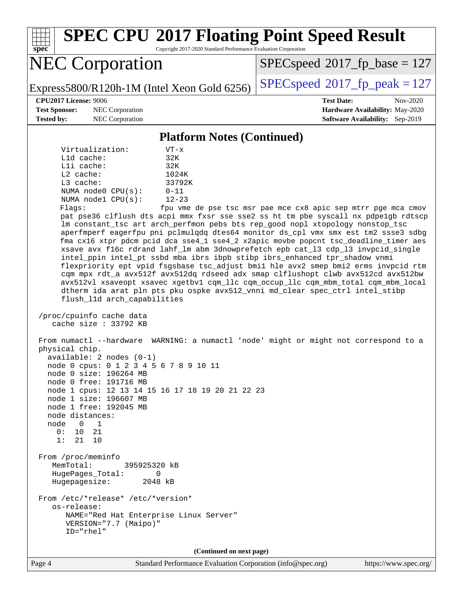**[spec](http://www.spec.org/) [SPEC CPU](http://www.spec.org/auto/cpu2017/Docs/result-fields.html#SPECCPU2017FloatingPointSpeedResult)[2017 Floating Point Speed Result](http://www.spec.org/auto/cpu2017/Docs/result-fields.html#SPECCPU2017FloatingPointSpeedResult)** Copyright 2017-2020 Standard Performance Evaluation Corporation NEC Corporation Express5800/R120h-1M (Intel Xeon Gold 6256) [SPECspeed](http://www.spec.org/auto/cpu2017/Docs/result-fields.html#SPECspeed2017fppeak)<sup>®</sup>[2017\\_fp\\_peak = 1](http://www.spec.org/auto/cpu2017/Docs/result-fields.html#SPECspeed2017fppeak)27  $SPEC speed$ <sup>®</sup> $2017$ \_fp\_base = 127 **[CPU2017 License:](http://www.spec.org/auto/cpu2017/Docs/result-fields.html#CPU2017License)** 9006 **[Test Date:](http://www.spec.org/auto/cpu2017/Docs/result-fields.html#TestDate)** Nov-2020 **[Test Sponsor:](http://www.spec.org/auto/cpu2017/Docs/result-fields.html#TestSponsor)** NEC Corporation **[Hardware Availability:](http://www.spec.org/auto/cpu2017/Docs/result-fields.html#HardwareAvailability)** May-2020 **[Tested by:](http://www.spec.org/auto/cpu2017/Docs/result-fields.html#Testedby)** NEC Corporation **[Software Availability:](http://www.spec.org/auto/cpu2017/Docs/result-fields.html#SoftwareAvailability)** Sep-2019 **[Platform Notes \(Continued\)](http://www.spec.org/auto/cpu2017/Docs/result-fields.html#PlatformNotes)** Virtualization: VT-x L1d cache: 32K L1i cache: 32K L2 cache: 1024K L3 cache: 33792K NUMA node0 CPU(s): 0-11 NUMA node1 CPU(s): 12-23 Flags: fpu vme de pse tsc msr pae mce cx8 apic sep mtrr pge mca cmov pat pse36 clflush dts acpi mmx fxsr sse sse2 ss ht tm pbe syscall nx pdpe1gb rdtscp lm constant\_tsc art arch\_perfmon pebs bts rep\_good nopl xtopology nonstop\_tsc aperfmperf eagerfpu pni pclmulqdq dtes64 monitor ds\_cpl vmx smx est tm2 ssse3 sdbg fma cx16 xtpr pdcm pcid dca sse4\_1 sse4\_2 x2apic movbe popcnt tsc\_deadline\_timer aes xsave avx f16c rdrand lahf\_lm abm 3dnowprefetch epb cat\_l3 cdp\_l3 invpcid\_single intel\_ppin intel\_pt ssbd mba ibrs ibpb stibp ibrs\_enhanced tpr\_shadow vnmi flexpriority ept vpid fsgsbase tsc\_adjust bmi1 hle avx2 smep bmi2 erms invpcid rtm cqm mpx rdt\_a avx512f avx512dq rdseed adx smap clflushopt clwb avx512cd avx512bw avx512vl xsaveopt xsavec xgetbv1 cqm\_llc cqm\_occup\_llc cqm\_mbm\_total cqm\_mbm\_local dtherm ida arat pln pts pku ospke avx512\_vnni md\_clear spec\_ctrl intel\_stibp flush\_l1d arch\_capabilities /proc/cpuinfo cache data cache size : 33792 KB From numactl --hardware WARNING: a numactl 'node' might or might not correspond to a physical chip. available: 2 nodes (0-1) node 0 cpus: 0 1 2 3 4 5 6 7 8 9 10 11 node 0 size: 196264 MB node 0 free: 191716 MB node 1 cpus: 12 13 14 15 16 17 18 19 20 21 22 23 node 1 size: 196607 MB node 1 free: 192045 MB node distances: node 0 1 0: 10 21 1: 21 10

 From /proc/meminfo MemTotal: 395925320 kB HugePages\_Total: 0 Hugepagesize: 2048 kB From /etc/\*release\* /etc/\*version\* os-release:

 NAME="Red Hat Enterprise Linux Server" VERSION="7.7 (Maipo)" ID="rhel"

**(Continued on next page)**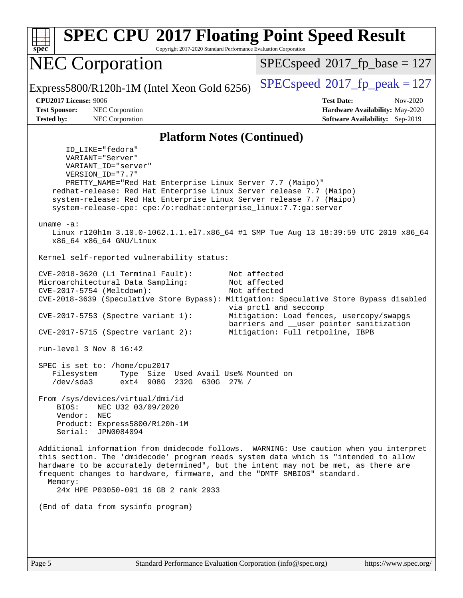**[spec](http://www.spec.org/) [SPEC CPU](http://www.spec.org/auto/cpu2017/Docs/result-fields.html#SPECCPU2017FloatingPointSpeedResult)[2017 Floating Point Speed Result](http://www.spec.org/auto/cpu2017/Docs/result-fields.html#SPECCPU2017FloatingPointSpeedResult)** Copyright 2017-2020 Standard Performance Evaluation Corporation NEC Corporation Express5800/R120h-1M (Intel Xeon Gold 6256) [SPECspeed](http://www.spec.org/auto/cpu2017/Docs/result-fields.html#SPECspeed2017fppeak)<sup>®</sup>[2017\\_fp\\_peak = 1](http://www.spec.org/auto/cpu2017/Docs/result-fields.html#SPECspeed2017fppeak)27  $SPEC speed$ <sup>®</sup> $2017$ \_fp\_base = 127 **[CPU2017 License:](http://www.spec.org/auto/cpu2017/Docs/result-fields.html#CPU2017License)** 9006 **[Test Date:](http://www.spec.org/auto/cpu2017/Docs/result-fields.html#TestDate)** Nov-2020 **[Test Sponsor:](http://www.spec.org/auto/cpu2017/Docs/result-fields.html#TestSponsor)** NEC Corporation **[Hardware Availability:](http://www.spec.org/auto/cpu2017/Docs/result-fields.html#HardwareAvailability)** May-2020 **[Tested by:](http://www.spec.org/auto/cpu2017/Docs/result-fields.html#Testedby)** NEC Corporation **[Software Availability:](http://www.spec.org/auto/cpu2017/Docs/result-fields.html#SoftwareAvailability)** Sep-2019 **[Platform Notes \(Continued\)](http://www.spec.org/auto/cpu2017/Docs/result-fields.html#PlatformNotes)** ID\_LIKE="fedora" VARIANT="Server" VARIANT\_ID="server" VERSION\_ID="7.7" PRETTY\_NAME="Red Hat Enterprise Linux Server 7.7 (Maipo)" redhat-release: Red Hat Enterprise Linux Server release 7.7 (Maipo) system-release: Red Hat Enterprise Linux Server release 7.7 (Maipo) system-release-cpe: cpe:/o:redhat:enterprise\_linux:7.7:ga:server uname -a: Linux r120h1m 3.10.0-1062.1.1.el7.x86\_64 #1 SMP Tue Aug 13 18:39:59 UTC 2019 x86\_64 x86\_64 x86\_64 GNU/Linux Kernel self-reported vulnerability status: CVE-2018-3620 (L1 Terminal Fault): Not affected Microarchitectural Data Sampling: Not affected CVE-2017-5754 (Meltdown): Not affected CVE-2018-3639 (Speculative Store Bypass): Mitigation: Speculative Store Bypass disabled via prctl and seccomp CVE-2017-5753 (Spectre variant 1): Mitigation: Load fences, usercopy/swapgs barriers and \_\_user pointer sanitization CVE-2017-5715 (Spectre variant 2): Mitigation: Full retpoline, IBPB run-level 3 Nov 8 16:42 SPEC is set to: /home/cpu2017 Filesystem Type Size Used Avail Use% Mounted on /dev/sda3 ext4 908G 232G 630G 27% / From /sys/devices/virtual/dmi/id BIOS: NEC U32 03/09/2020 Vendor: NEC Product: Express5800/R120h-1M Serial: JPN0084094 Additional information from dmidecode follows. WARNING: Use caution when you interpret this section. The 'dmidecode' program reads system data which is "intended to allow hardware to be accurately determined", but the intent may not be met, as there are frequent changes to hardware, firmware, and the "DMTF SMBIOS" standard. Memory: 24x HPE P03050-091 16 GB 2 rank 2933 (End of data from sysinfo program)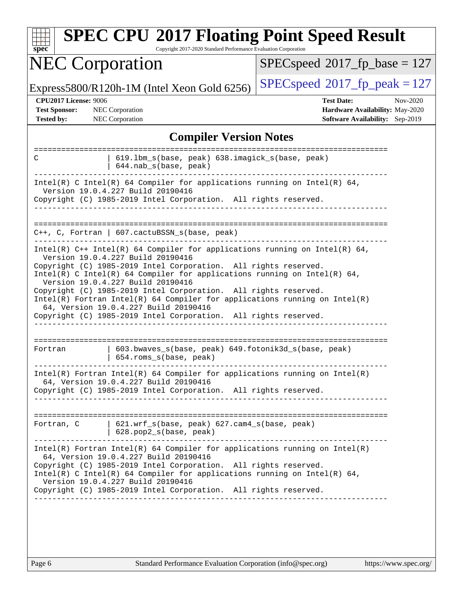| <b>NEC Corporation</b>                                                                                                                                                                                                                                                                                                                                                                                                                                                                                                                                                 | $SPEC speed^{\circ}2017$ fp base = 127                                                                                                      |  |  |  |
|------------------------------------------------------------------------------------------------------------------------------------------------------------------------------------------------------------------------------------------------------------------------------------------------------------------------------------------------------------------------------------------------------------------------------------------------------------------------------------------------------------------------------------------------------------------------|---------------------------------------------------------------------------------------------------------------------------------------------|--|--|--|
| Express5800/R120h-1M (Intel Xeon Gold 6256)                                                                                                                                                                                                                                                                                                                                                                                                                                                                                                                            | $SPEC speed^{\circ}2017$ _fp_peak = 127                                                                                                     |  |  |  |
| <b>CPU2017 License: 9006</b><br><b>Test Sponsor:</b><br><b>NEC</b> Corporation<br>NEC Corporation<br><b>Tested by:</b>                                                                                                                                                                                                                                                                                                                                                                                                                                                 | <b>Test Date:</b><br>Nov-2020<br>Hardware Availability: May-2020<br>Software Availability: Sep-2019                                         |  |  |  |
| <b>Compiler Version Notes</b>                                                                                                                                                                                                                                                                                                                                                                                                                                                                                                                                          |                                                                                                                                             |  |  |  |
| 619.1bm_s(base, peak) 638.imagick_s(base, peak)<br>С<br>644.nab_s(base, peak)                                                                                                                                                                                                                                                                                                                                                                                                                                                                                          | :====================                                                                                                                       |  |  |  |
| Intel(R) C Intel(R) 64 Compiler for applications running on Intel(R) 64,<br>Version 19.0.4.227 Build 20190416<br>Copyright (C) 1985-2019 Intel Corporation. All rights reserved.                                                                                                                                                                                                                                                                                                                                                                                       |                                                                                                                                             |  |  |  |
| $C++$ , C, Fortran   607.cactuBSSN_s(base, peak)                                                                                                                                                                                                                                                                                                                                                                                                                                                                                                                       |                                                                                                                                             |  |  |  |
| Intel(R) $C++$ Intel(R) 64 Compiler for applications running on Intel(R) 64,<br>Version 19.0.4.227 Build 20190416<br>Copyright (C) 1985-2019 Intel Corporation. All rights reserved.<br>$Intel(R)$ C Intel(R) 64 Compiler for applications running on Intel(R) 64,<br>Version 19.0.4.227 Build 20190416<br>Copyright (C) 1985-2019 Intel Corporation. All rights reserved.<br>$Intel(R)$ Fortran Intel(R) 64 Compiler for applications running on Intel(R)<br>64, Version 19.0.4.227 Build 20190416<br>Copyright (C) 1985-2019 Intel Corporation. All rights reserved. |                                                                                                                                             |  |  |  |
| 603.bwaves_s(base, peak) 649.fotonik3d_s(base, peak)<br>Fortran<br>654.roms_s(base, peak)                                                                                                                                                                                                                                                                                                                                                                                                                                                                              |                                                                                                                                             |  |  |  |
| $Intel(R)$ Fortran Intel(R) 64 Compiler for applications running on Intel(R)<br>64, Version 19.0.4.227 Build 20190416<br>Copyright (C) 1985-2019 Intel Corporation. All rights reserved.<br>----------------------                                                                                                                                                                                                                                                                                                                                                     |                                                                                                                                             |  |  |  |
| 621.wrf_s(base, peak) 627.cam4_s(base, peak)<br>Fortran, C<br>$  628.pop2_s(base, peak)$                                                                                                                                                                                                                                                                                                                                                                                                                                                                               |                                                                                                                                             |  |  |  |
| $Intel(R)$ Fortran Intel(R) 64 Compiler for applications running on Intel(R)<br>64, Version 19.0.4.227 Build 20190416                                                                                                                                                                                                                                                                                                                                                                                                                                                  | Copyright (C) 1985-2019 Intel Corporation. All rights reserved.<br>Intel(R) C Intel(R) 64 Compiler for applications running on Intel(R) 64, |  |  |  |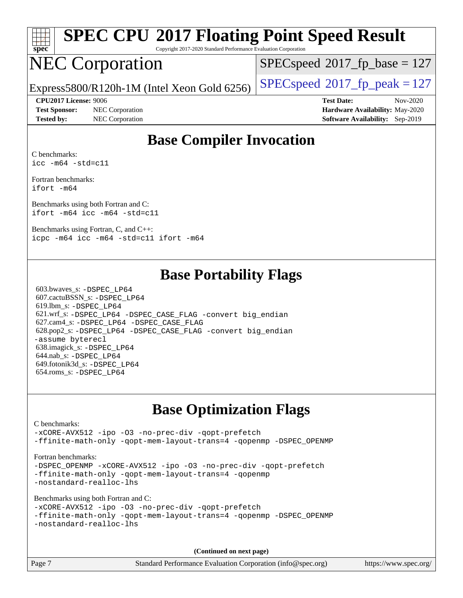

# **[SPEC CPU](http://www.spec.org/auto/cpu2017/Docs/result-fields.html#SPECCPU2017FloatingPointSpeedResult)[2017 Floating Point Speed Result](http://www.spec.org/auto/cpu2017/Docs/result-fields.html#SPECCPU2017FloatingPointSpeedResult)**

Copyright 2017-2020 Standard Performance Evaluation Corporation

# NEC Corporation

[SPECspeed](http://www.spec.org/auto/cpu2017/Docs/result-fields.html#SPECspeed2017fpbase)<sup>®</sup>2017 fp base = 127

Express5800/R120h-1M (Intel Xeon Gold 6256) [SPECspeed](http://www.spec.org/auto/cpu2017/Docs/result-fields.html#SPECspeed2017fppeak)<sup>®</sup>[2017\\_fp\\_peak = 1](http://www.spec.org/auto/cpu2017/Docs/result-fields.html#SPECspeed2017fppeak)27

**[Test Sponsor:](http://www.spec.org/auto/cpu2017/Docs/result-fields.html#TestSponsor)** NEC Corporation **[Hardware Availability:](http://www.spec.org/auto/cpu2017/Docs/result-fields.html#HardwareAvailability)** May-2020 **[Tested by:](http://www.spec.org/auto/cpu2017/Docs/result-fields.html#Testedby)** NEC Corporation **[Software Availability:](http://www.spec.org/auto/cpu2017/Docs/result-fields.html#SoftwareAvailability)** Sep-2019

**[CPU2017 License:](http://www.spec.org/auto/cpu2017/Docs/result-fields.html#CPU2017License)** 9006 **[Test Date:](http://www.spec.org/auto/cpu2017/Docs/result-fields.html#TestDate)** Nov-2020

#### **[Base Compiler Invocation](http://www.spec.org/auto/cpu2017/Docs/result-fields.html#BaseCompilerInvocation)**

[C benchmarks:](http://www.spec.org/auto/cpu2017/Docs/result-fields.html#Cbenchmarks) [icc -m64 -std=c11](http://www.spec.org/cpu2017/results/res2020q4/cpu2017-20201109-24352.flags.html#user_CCbase_intel_icc_64bit_c11_33ee0cdaae7deeeab2a9725423ba97205ce30f63b9926c2519791662299b76a0318f32ddfffdc46587804de3178b4f9328c46fa7c2b0cd779d7a61945c91cd35)

[Fortran benchmarks](http://www.spec.org/auto/cpu2017/Docs/result-fields.html#Fortranbenchmarks): [ifort -m64](http://www.spec.org/cpu2017/results/res2020q4/cpu2017-20201109-24352.flags.html#user_FCbase_intel_ifort_64bit_24f2bb282fbaeffd6157abe4f878425411749daecae9a33200eee2bee2fe76f3b89351d69a8130dd5949958ce389cf37ff59a95e7a40d588e8d3a57e0c3fd751)

[Benchmarks using both Fortran and C:](http://www.spec.org/auto/cpu2017/Docs/result-fields.html#BenchmarksusingbothFortranandC) [ifort -m64](http://www.spec.org/cpu2017/results/res2020q4/cpu2017-20201109-24352.flags.html#user_CC_FCbase_intel_ifort_64bit_24f2bb282fbaeffd6157abe4f878425411749daecae9a33200eee2bee2fe76f3b89351d69a8130dd5949958ce389cf37ff59a95e7a40d588e8d3a57e0c3fd751) [icc -m64 -std=c11](http://www.spec.org/cpu2017/results/res2020q4/cpu2017-20201109-24352.flags.html#user_CC_FCbase_intel_icc_64bit_c11_33ee0cdaae7deeeab2a9725423ba97205ce30f63b9926c2519791662299b76a0318f32ddfffdc46587804de3178b4f9328c46fa7c2b0cd779d7a61945c91cd35)

[Benchmarks using Fortran, C, and C++:](http://www.spec.org/auto/cpu2017/Docs/result-fields.html#BenchmarksusingFortranCandCXX) [icpc -m64](http://www.spec.org/cpu2017/results/res2020q4/cpu2017-20201109-24352.flags.html#user_CC_CXX_FCbase_intel_icpc_64bit_4ecb2543ae3f1412ef961e0650ca070fec7b7afdcd6ed48761b84423119d1bf6bdf5cad15b44d48e7256388bc77273b966e5eb805aefd121eb22e9299b2ec9d9) [icc -m64 -std=c11](http://www.spec.org/cpu2017/results/res2020q4/cpu2017-20201109-24352.flags.html#user_CC_CXX_FCbase_intel_icc_64bit_c11_33ee0cdaae7deeeab2a9725423ba97205ce30f63b9926c2519791662299b76a0318f32ddfffdc46587804de3178b4f9328c46fa7c2b0cd779d7a61945c91cd35) [ifort -m64](http://www.spec.org/cpu2017/results/res2020q4/cpu2017-20201109-24352.flags.html#user_CC_CXX_FCbase_intel_ifort_64bit_24f2bb282fbaeffd6157abe4f878425411749daecae9a33200eee2bee2fe76f3b89351d69a8130dd5949958ce389cf37ff59a95e7a40d588e8d3a57e0c3fd751)

#### **[Base Portability Flags](http://www.spec.org/auto/cpu2017/Docs/result-fields.html#BasePortabilityFlags)**

 603.bwaves\_s: [-DSPEC\\_LP64](http://www.spec.org/cpu2017/results/res2020q4/cpu2017-20201109-24352.flags.html#suite_basePORTABILITY603_bwaves_s_DSPEC_LP64) 607.cactuBSSN\_s: [-DSPEC\\_LP64](http://www.spec.org/cpu2017/results/res2020q4/cpu2017-20201109-24352.flags.html#suite_basePORTABILITY607_cactuBSSN_s_DSPEC_LP64) 619.lbm\_s: [-DSPEC\\_LP64](http://www.spec.org/cpu2017/results/res2020q4/cpu2017-20201109-24352.flags.html#suite_basePORTABILITY619_lbm_s_DSPEC_LP64) 621.wrf\_s: [-DSPEC\\_LP64](http://www.spec.org/cpu2017/results/res2020q4/cpu2017-20201109-24352.flags.html#suite_basePORTABILITY621_wrf_s_DSPEC_LP64) [-DSPEC\\_CASE\\_FLAG](http://www.spec.org/cpu2017/results/res2020q4/cpu2017-20201109-24352.flags.html#b621.wrf_s_baseCPORTABILITY_DSPEC_CASE_FLAG) [-convert big\\_endian](http://www.spec.org/cpu2017/results/res2020q4/cpu2017-20201109-24352.flags.html#user_baseFPORTABILITY621_wrf_s_convert_big_endian_c3194028bc08c63ac5d04de18c48ce6d347e4e562e8892b8bdbdc0214820426deb8554edfa529a3fb25a586e65a3d812c835984020483e7e73212c4d31a38223) 627.cam4\_s: [-DSPEC\\_LP64](http://www.spec.org/cpu2017/results/res2020q4/cpu2017-20201109-24352.flags.html#suite_basePORTABILITY627_cam4_s_DSPEC_LP64) [-DSPEC\\_CASE\\_FLAG](http://www.spec.org/cpu2017/results/res2020q4/cpu2017-20201109-24352.flags.html#b627.cam4_s_baseCPORTABILITY_DSPEC_CASE_FLAG) 628.pop2\_s: [-DSPEC\\_LP64](http://www.spec.org/cpu2017/results/res2020q4/cpu2017-20201109-24352.flags.html#suite_basePORTABILITY628_pop2_s_DSPEC_LP64) [-DSPEC\\_CASE\\_FLAG](http://www.spec.org/cpu2017/results/res2020q4/cpu2017-20201109-24352.flags.html#b628.pop2_s_baseCPORTABILITY_DSPEC_CASE_FLAG) [-convert big\\_endian](http://www.spec.org/cpu2017/results/res2020q4/cpu2017-20201109-24352.flags.html#user_baseFPORTABILITY628_pop2_s_convert_big_endian_c3194028bc08c63ac5d04de18c48ce6d347e4e562e8892b8bdbdc0214820426deb8554edfa529a3fb25a586e65a3d812c835984020483e7e73212c4d31a38223) [-assume byterecl](http://www.spec.org/cpu2017/results/res2020q4/cpu2017-20201109-24352.flags.html#user_baseFPORTABILITY628_pop2_s_assume_byterecl_7e47d18b9513cf18525430bbf0f2177aa9bf368bc7a059c09b2c06a34b53bd3447c950d3f8d6c70e3faf3a05c8557d66a5798b567902e8849adc142926523472) 638.imagick\_s: [-DSPEC\\_LP64](http://www.spec.org/cpu2017/results/res2020q4/cpu2017-20201109-24352.flags.html#suite_basePORTABILITY638_imagick_s_DSPEC_LP64) 644.nab\_s: [-DSPEC\\_LP64](http://www.spec.org/cpu2017/results/res2020q4/cpu2017-20201109-24352.flags.html#suite_basePORTABILITY644_nab_s_DSPEC_LP64) 649.fotonik3d\_s: [-DSPEC\\_LP64](http://www.spec.org/cpu2017/results/res2020q4/cpu2017-20201109-24352.flags.html#suite_basePORTABILITY649_fotonik3d_s_DSPEC_LP64) 654.roms\_s: [-DSPEC\\_LP64](http://www.spec.org/cpu2017/results/res2020q4/cpu2017-20201109-24352.flags.html#suite_basePORTABILITY654_roms_s_DSPEC_LP64)

### **[Base Optimization Flags](http://www.spec.org/auto/cpu2017/Docs/result-fields.html#BaseOptimizationFlags)**

#### [C benchmarks](http://www.spec.org/auto/cpu2017/Docs/result-fields.html#Cbenchmarks): [-xCORE-AVX512](http://www.spec.org/cpu2017/results/res2020q4/cpu2017-20201109-24352.flags.html#user_CCbase_f-xCORE-AVX512) [-ipo](http://www.spec.org/cpu2017/results/res2020q4/cpu2017-20201109-24352.flags.html#user_CCbase_f-ipo) [-O3](http://www.spec.org/cpu2017/results/res2020q4/cpu2017-20201109-24352.flags.html#user_CCbase_f-O3) [-no-prec-div](http://www.spec.org/cpu2017/results/res2020q4/cpu2017-20201109-24352.flags.html#user_CCbase_f-no-prec-div) [-qopt-prefetch](http://www.spec.org/cpu2017/results/res2020q4/cpu2017-20201109-24352.flags.html#user_CCbase_f-qopt-prefetch) [-ffinite-math-only](http://www.spec.org/cpu2017/results/res2020q4/cpu2017-20201109-24352.flags.html#user_CCbase_f_finite_math_only_cb91587bd2077682c4b38af759c288ed7c732db004271a9512da14a4f8007909a5f1427ecbf1a0fb78ff2a814402c6114ac565ca162485bbcae155b5e4258871) [-qopt-mem-layout-trans=4](http://www.spec.org/cpu2017/results/res2020q4/cpu2017-20201109-24352.flags.html#user_CCbase_f-qopt-mem-layout-trans_fa39e755916c150a61361b7846f310bcdf6f04e385ef281cadf3647acec3f0ae266d1a1d22d972a7087a248fd4e6ca390a3634700869573d231a252c784941a8) [-qopenmp](http://www.spec.org/cpu2017/results/res2020q4/cpu2017-20201109-24352.flags.html#user_CCbase_qopenmp_16be0c44f24f464004c6784a7acb94aca937f053568ce72f94b139a11c7c168634a55f6653758ddd83bcf7b8463e8028bb0b48b77bcddc6b78d5d95bb1df2967) [-DSPEC\\_OPENMP](http://www.spec.org/cpu2017/results/res2020q4/cpu2017-20201109-24352.flags.html#suite_CCbase_DSPEC_OPENMP) [Fortran benchmarks](http://www.spec.org/auto/cpu2017/Docs/result-fields.html#Fortranbenchmarks): -DSPEC OPENMP [-xCORE-AVX512](http://www.spec.org/cpu2017/results/res2020q4/cpu2017-20201109-24352.flags.html#user_FCbase_f-xCORE-AVX512) [-ipo](http://www.spec.org/cpu2017/results/res2020q4/cpu2017-20201109-24352.flags.html#user_FCbase_f-ipo) [-O3](http://www.spec.org/cpu2017/results/res2020q4/cpu2017-20201109-24352.flags.html#user_FCbase_f-O3) [-no-prec-div](http://www.spec.org/cpu2017/results/res2020q4/cpu2017-20201109-24352.flags.html#user_FCbase_f-no-prec-div) [-qopt-prefetch](http://www.spec.org/cpu2017/results/res2020q4/cpu2017-20201109-24352.flags.html#user_FCbase_f-qopt-prefetch) [-ffinite-math-only](http://www.spec.org/cpu2017/results/res2020q4/cpu2017-20201109-24352.flags.html#user_FCbase_f_finite_math_only_cb91587bd2077682c4b38af759c288ed7c732db004271a9512da14a4f8007909a5f1427ecbf1a0fb78ff2a814402c6114ac565ca162485bbcae155b5e4258871) [-qopt-mem-layout-trans=4](http://www.spec.org/cpu2017/results/res2020q4/cpu2017-20201109-24352.flags.html#user_FCbase_f-qopt-mem-layout-trans_fa39e755916c150a61361b7846f310bcdf6f04e385ef281cadf3647acec3f0ae266d1a1d22d972a7087a248fd4e6ca390a3634700869573d231a252c784941a8) [-qopenmp](http://www.spec.org/cpu2017/results/res2020q4/cpu2017-20201109-24352.flags.html#user_FCbase_qopenmp_16be0c44f24f464004c6784a7acb94aca937f053568ce72f94b139a11c7c168634a55f6653758ddd83bcf7b8463e8028bb0b48b77bcddc6b78d5d95bb1df2967) [-nostandard-realloc-lhs](http://www.spec.org/cpu2017/results/res2020q4/cpu2017-20201109-24352.flags.html#user_FCbase_f_2003_std_realloc_82b4557e90729c0f113870c07e44d33d6f5a304b4f63d4c15d2d0f1fab99f5daaed73bdb9275d9ae411527f28b936061aa8b9c8f2d63842963b95c9dd6426b8a) [Benchmarks using both Fortran and C](http://www.spec.org/auto/cpu2017/Docs/result-fields.html#BenchmarksusingbothFortranandC): [-xCORE-AVX512](http://www.spec.org/cpu2017/results/res2020q4/cpu2017-20201109-24352.flags.html#user_CC_FCbase_f-xCORE-AVX512) [-ipo](http://www.spec.org/cpu2017/results/res2020q4/cpu2017-20201109-24352.flags.html#user_CC_FCbase_f-ipo) [-O3](http://www.spec.org/cpu2017/results/res2020q4/cpu2017-20201109-24352.flags.html#user_CC_FCbase_f-O3) [-no-prec-div](http://www.spec.org/cpu2017/results/res2020q4/cpu2017-20201109-24352.flags.html#user_CC_FCbase_f-no-prec-div) [-qopt-prefetch](http://www.spec.org/cpu2017/results/res2020q4/cpu2017-20201109-24352.flags.html#user_CC_FCbase_f-qopt-prefetch) [-ffinite-math-only](http://www.spec.org/cpu2017/results/res2020q4/cpu2017-20201109-24352.flags.html#user_CC_FCbase_f_finite_math_only_cb91587bd2077682c4b38af759c288ed7c732db004271a9512da14a4f8007909a5f1427ecbf1a0fb78ff2a814402c6114ac565ca162485bbcae155b5e4258871) [-qopt-mem-layout-trans=4](http://www.spec.org/cpu2017/results/res2020q4/cpu2017-20201109-24352.flags.html#user_CC_FCbase_f-qopt-mem-layout-trans_fa39e755916c150a61361b7846f310bcdf6f04e385ef281cadf3647acec3f0ae266d1a1d22d972a7087a248fd4e6ca390a3634700869573d231a252c784941a8) [-qopenmp](http://www.spec.org/cpu2017/results/res2020q4/cpu2017-20201109-24352.flags.html#user_CC_FCbase_qopenmp_16be0c44f24f464004c6784a7acb94aca937f053568ce72f94b139a11c7c168634a55f6653758ddd83bcf7b8463e8028bb0b48b77bcddc6b78d5d95bb1df2967) [-DSPEC\\_OPENMP](http://www.spec.org/cpu2017/results/res2020q4/cpu2017-20201109-24352.flags.html#suite_CC_FCbase_DSPEC_OPENMP) [-nostandard-realloc-lhs](http://www.spec.org/cpu2017/results/res2020q4/cpu2017-20201109-24352.flags.html#user_CC_FCbase_f_2003_std_realloc_82b4557e90729c0f113870c07e44d33d6f5a304b4f63d4c15d2d0f1fab99f5daaed73bdb9275d9ae411527f28b936061aa8b9c8f2d63842963b95c9dd6426b8a) **(Continued on next page)**

Page 7 Standard Performance Evaluation Corporation [\(info@spec.org\)](mailto:info@spec.org) <https://www.spec.org/>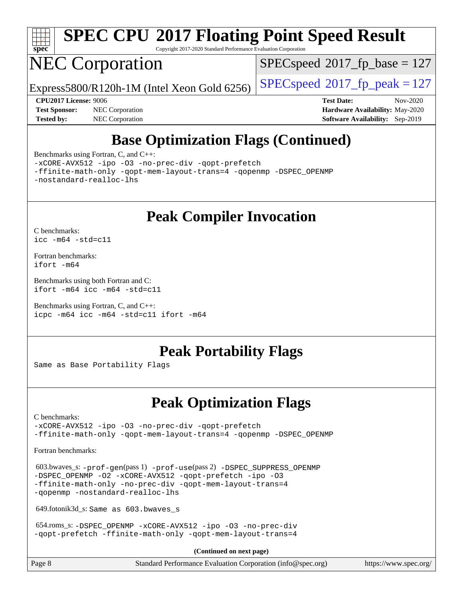

# **[SPEC CPU](http://www.spec.org/auto/cpu2017/Docs/result-fields.html#SPECCPU2017FloatingPointSpeedResult)[2017 Floating Point Speed Result](http://www.spec.org/auto/cpu2017/Docs/result-fields.html#SPECCPU2017FloatingPointSpeedResult)**

Copyright 2017-2020 Standard Performance Evaluation Corporation

# NEC Corporation

[SPECspeed](http://www.spec.org/auto/cpu2017/Docs/result-fields.html#SPECspeed2017fpbase)<sup>®</sup>2017 fp base = 127

Express5800/R120h-1M (Intel Xeon Gold 6256) [SPECspeed](http://www.spec.org/auto/cpu2017/Docs/result-fields.html#SPECspeed2017fppeak)<sup>®</sup>[2017\\_fp\\_peak = 1](http://www.spec.org/auto/cpu2017/Docs/result-fields.html#SPECspeed2017fppeak)27

**[Test Sponsor:](http://www.spec.org/auto/cpu2017/Docs/result-fields.html#TestSponsor)** NEC Corporation **[Hardware Availability:](http://www.spec.org/auto/cpu2017/Docs/result-fields.html#HardwareAvailability)** May-2020 **[Tested by:](http://www.spec.org/auto/cpu2017/Docs/result-fields.html#Testedby)** NEC Corporation **[Software Availability:](http://www.spec.org/auto/cpu2017/Docs/result-fields.html#SoftwareAvailability)** Sep-2019

**[CPU2017 License:](http://www.spec.org/auto/cpu2017/Docs/result-fields.html#CPU2017License)** 9006 **[Test Date:](http://www.spec.org/auto/cpu2017/Docs/result-fields.html#TestDate)** Nov-2020

## **[Base Optimization Flags \(Continued\)](http://www.spec.org/auto/cpu2017/Docs/result-fields.html#BaseOptimizationFlags)**

[Benchmarks using Fortran, C, and C++:](http://www.spec.org/auto/cpu2017/Docs/result-fields.html#BenchmarksusingFortranCandCXX)

[-xCORE-AVX512](http://www.spec.org/cpu2017/results/res2020q4/cpu2017-20201109-24352.flags.html#user_CC_CXX_FCbase_f-xCORE-AVX512) [-ipo](http://www.spec.org/cpu2017/results/res2020q4/cpu2017-20201109-24352.flags.html#user_CC_CXX_FCbase_f-ipo) [-O3](http://www.spec.org/cpu2017/results/res2020q4/cpu2017-20201109-24352.flags.html#user_CC_CXX_FCbase_f-O3) [-no-prec-div](http://www.spec.org/cpu2017/results/res2020q4/cpu2017-20201109-24352.flags.html#user_CC_CXX_FCbase_f-no-prec-div) [-qopt-prefetch](http://www.spec.org/cpu2017/results/res2020q4/cpu2017-20201109-24352.flags.html#user_CC_CXX_FCbase_f-qopt-prefetch)

[-ffinite-math-only](http://www.spec.org/cpu2017/results/res2020q4/cpu2017-20201109-24352.flags.html#user_CC_CXX_FCbase_f_finite_math_only_cb91587bd2077682c4b38af759c288ed7c732db004271a9512da14a4f8007909a5f1427ecbf1a0fb78ff2a814402c6114ac565ca162485bbcae155b5e4258871) [-qopt-mem-layout-trans=4](http://www.spec.org/cpu2017/results/res2020q4/cpu2017-20201109-24352.flags.html#user_CC_CXX_FCbase_f-qopt-mem-layout-trans_fa39e755916c150a61361b7846f310bcdf6f04e385ef281cadf3647acec3f0ae266d1a1d22d972a7087a248fd4e6ca390a3634700869573d231a252c784941a8) [-qopenmp](http://www.spec.org/cpu2017/results/res2020q4/cpu2017-20201109-24352.flags.html#user_CC_CXX_FCbase_qopenmp_16be0c44f24f464004c6784a7acb94aca937f053568ce72f94b139a11c7c168634a55f6653758ddd83bcf7b8463e8028bb0b48b77bcddc6b78d5d95bb1df2967) [-DSPEC\\_OPENMP](http://www.spec.org/cpu2017/results/res2020q4/cpu2017-20201109-24352.flags.html#suite_CC_CXX_FCbase_DSPEC_OPENMP) [-nostandard-realloc-lhs](http://www.spec.org/cpu2017/results/res2020q4/cpu2017-20201109-24352.flags.html#user_CC_CXX_FCbase_f_2003_std_realloc_82b4557e90729c0f113870c07e44d33d6f5a304b4f63d4c15d2d0f1fab99f5daaed73bdb9275d9ae411527f28b936061aa8b9c8f2d63842963b95c9dd6426b8a)

## **[Peak Compiler Invocation](http://www.spec.org/auto/cpu2017/Docs/result-fields.html#PeakCompilerInvocation)**

[C benchmarks](http://www.spec.org/auto/cpu2017/Docs/result-fields.html#Cbenchmarks): [icc -m64 -std=c11](http://www.spec.org/cpu2017/results/res2020q4/cpu2017-20201109-24352.flags.html#user_CCpeak_intel_icc_64bit_c11_33ee0cdaae7deeeab2a9725423ba97205ce30f63b9926c2519791662299b76a0318f32ddfffdc46587804de3178b4f9328c46fa7c2b0cd779d7a61945c91cd35)

[Fortran benchmarks](http://www.spec.org/auto/cpu2017/Docs/result-fields.html#Fortranbenchmarks): [ifort -m64](http://www.spec.org/cpu2017/results/res2020q4/cpu2017-20201109-24352.flags.html#user_FCpeak_intel_ifort_64bit_24f2bb282fbaeffd6157abe4f878425411749daecae9a33200eee2bee2fe76f3b89351d69a8130dd5949958ce389cf37ff59a95e7a40d588e8d3a57e0c3fd751)

[Benchmarks using both Fortran and C](http://www.spec.org/auto/cpu2017/Docs/result-fields.html#BenchmarksusingbothFortranandC): [ifort -m64](http://www.spec.org/cpu2017/results/res2020q4/cpu2017-20201109-24352.flags.html#user_CC_FCpeak_intel_ifort_64bit_24f2bb282fbaeffd6157abe4f878425411749daecae9a33200eee2bee2fe76f3b89351d69a8130dd5949958ce389cf37ff59a95e7a40d588e8d3a57e0c3fd751) [icc -m64 -std=c11](http://www.spec.org/cpu2017/results/res2020q4/cpu2017-20201109-24352.flags.html#user_CC_FCpeak_intel_icc_64bit_c11_33ee0cdaae7deeeab2a9725423ba97205ce30f63b9926c2519791662299b76a0318f32ddfffdc46587804de3178b4f9328c46fa7c2b0cd779d7a61945c91cd35)

[Benchmarks using Fortran, C, and C++:](http://www.spec.org/auto/cpu2017/Docs/result-fields.html#BenchmarksusingFortranCandCXX) [icpc -m64](http://www.spec.org/cpu2017/results/res2020q4/cpu2017-20201109-24352.flags.html#user_CC_CXX_FCpeak_intel_icpc_64bit_4ecb2543ae3f1412ef961e0650ca070fec7b7afdcd6ed48761b84423119d1bf6bdf5cad15b44d48e7256388bc77273b966e5eb805aefd121eb22e9299b2ec9d9) [icc -m64 -std=c11](http://www.spec.org/cpu2017/results/res2020q4/cpu2017-20201109-24352.flags.html#user_CC_CXX_FCpeak_intel_icc_64bit_c11_33ee0cdaae7deeeab2a9725423ba97205ce30f63b9926c2519791662299b76a0318f32ddfffdc46587804de3178b4f9328c46fa7c2b0cd779d7a61945c91cd35) [ifort -m64](http://www.spec.org/cpu2017/results/res2020q4/cpu2017-20201109-24352.flags.html#user_CC_CXX_FCpeak_intel_ifort_64bit_24f2bb282fbaeffd6157abe4f878425411749daecae9a33200eee2bee2fe76f3b89351d69a8130dd5949958ce389cf37ff59a95e7a40d588e8d3a57e0c3fd751)

### **[Peak Portability Flags](http://www.spec.org/auto/cpu2017/Docs/result-fields.html#PeakPortabilityFlags)**

Same as Base Portability Flags

### **[Peak Optimization Flags](http://www.spec.org/auto/cpu2017/Docs/result-fields.html#PeakOptimizationFlags)**

[C benchmarks](http://www.spec.org/auto/cpu2017/Docs/result-fields.html#Cbenchmarks):

[-xCORE-AVX512](http://www.spec.org/cpu2017/results/res2020q4/cpu2017-20201109-24352.flags.html#user_CCpeak_f-xCORE-AVX512) [-ipo](http://www.spec.org/cpu2017/results/res2020q4/cpu2017-20201109-24352.flags.html#user_CCpeak_f-ipo) [-O3](http://www.spec.org/cpu2017/results/res2020q4/cpu2017-20201109-24352.flags.html#user_CCpeak_f-O3) [-no-prec-div](http://www.spec.org/cpu2017/results/res2020q4/cpu2017-20201109-24352.flags.html#user_CCpeak_f-no-prec-div) [-qopt-prefetch](http://www.spec.org/cpu2017/results/res2020q4/cpu2017-20201109-24352.flags.html#user_CCpeak_f-qopt-prefetch) [-ffinite-math-only](http://www.spec.org/cpu2017/results/res2020q4/cpu2017-20201109-24352.flags.html#user_CCpeak_f_finite_math_only_cb91587bd2077682c4b38af759c288ed7c732db004271a9512da14a4f8007909a5f1427ecbf1a0fb78ff2a814402c6114ac565ca162485bbcae155b5e4258871) [-qopt-mem-layout-trans=4](http://www.spec.org/cpu2017/results/res2020q4/cpu2017-20201109-24352.flags.html#user_CCpeak_f-qopt-mem-layout-trans_fa39e755916c150a61361b7846f310bcdf6f04e385ef281cadf3647acec3f0ae266d1a1d22d972a7087a248fd4e6ca390a3634700869573d231a252c784941a8) [-qopenmp](http://www.spec.org/cpu2017/results/res2020q4/cpu2017-20201109-24352.flags.html#user_CCpeak_qopenmp_16be0c44f24f464004c6784a7acb94aca937f053568ce72f94b139a11c7c168634a55f6653758ddd83bcf7b8463e8028bb0b48b77bcddc6b78d5d95bb1df2967) [-DSPEC\\_OPENMP](http://www.spec.org/cpu2017/results/res2020q4/cpu2017-20201109-24352.flags.html#suite_CCpeak_DSPEC_OPENMP)

[Fortran benchmarks](http://www.spec.org/auto/cpu2017/Docs/result-fields.html#Fortranbenchmarks):

 603.bwaves\_s: [-prof-gen](http://www.spec.org/cpu2017/results/res2020q4/cpu2017-20201109-24352.flags.html#user_peakPASS1_FFLAGSPASS1_LDFLAGS603_bwaves_s_prof_gen_5aa4926d6013ddb2a31985c654b3eb18169fc0c6952a63635c234f711e6e63dd76e94ad52365559451ec499a2cdb89e4dc58ba4c67ef54ca681ffbe1461d6b36)(pass 1) [-prof-use](http://www.spec.org/cpu2017/results/res2020q4/cpu2017-20201109-24352.flags.html#user_peakPASS2_FFLAGSPASS2_LDFLAGS603_bwaves_s_prof_use_1a21ceae95f36a2b53c25747139a6c16ca95bd9def2a207b4f0849963b97e94f5260e30a0c64f4bb623698870e679ca08317ef8150905d41bd88c6f78df73f19)(pass 2) [-DSPEC\\_SUPPRESS\\_OPENMP](http://www.spec.org/cpu2017/results/res2020q4/cpu2017-20201109-24352.flags.html#suite_peakPASS1_FOPTIMIZE603_bwaves_s_DSPEC_SUPPRESS_OPENMP) -DSPEC OPENMP [-O2](http://www.spec.org/cpu2017/results/res2020q4/cpu2017-20201109-24352.flags.html#user_peakPASS1_FOPTIMIZE603_bwaves_s_f-O2) [-xCORE-AVX512](http://www.spec.org/cpu2017/results/res2020q4/cpu2017-20201109-24352.flags.html#user_peakPASS2_FOPTIMIZE603_bwaves_s_f-xCORE-AVX512) [-qopt-prefetch](http://www.spec.org/cpu2017/results/res2020q4/cpu2017-20201109-24352.flags.html#user_peakPASS1_FOPTIMIZEPASS2_FOPTIMIZE603_bwaves_s_f-qopt-prefetch) [-ipo](http://www.spec.org/cpu2017/results/res2020q4/cpu2017-20201109-24352.flags.html#user_peakPASS2_FOPTIMIZE603_bwaves_s_f-ipo) [-O3](http://www.spec.org/cpu2017/results/res2020q4/cpu2017-20201109-24352.flags.html#user_peakPASS2_FOPTIMIZE603_bwaves_s_f-O3) [-ffinite-math-only](http://www.spec.org/cpu2017/results/res2020q4/cpu2017-20201109-24352.flags.html#user_peakPASS1_FOPTIMIZEPASS2_FOPTIMIZE603_bwaves_s_f_finite_math_only_cb91587bd2077682c4b38af759c288ed7c732db004271a9512da14a4f8007909a5f1427ecbf1a0fb78ff2a814402c6114ac565ca162485bbcae155b5e4258871) [-no-prec-div](http://www.spec.org/cpu2017/results/res2020q4/cpu2017-20201109-24352.flags.html#user_peakPASS2_FOPTIMIZE603_bwaves_s_f-no-prec-div) [-qopt-mem-layout-trans=4](http://www.spec.org/cpu2017/results/res2020q4/cpu2017-20201109-24352.flags.html#user_peakPASS1_FOPTIMIZEPASS2_FOPTIMIZE603_bwaves_s_f-qopt-mem-layout-trans_fa39e755916c150a61361b7846f310bcdf6f04e385ef281cadf3647acec3f0ae266d1a1d22d972a7087a248fd4e6ca390a3634700869573d231a252c784941a8) [-qopenmp](http://www.spec.org/cpu2017/results/res2020q4/cpu2017-20201109-24352.flags.html#user_peakPASS2_FOPTIMIZE603_bwaves_s_qopenmp_16be0c44f24f464004c6784a7acb94aca937f053568ce72f94b139a11c7c168634a55f6653758ddd83bcf7b8463e8028bb0b48b77bcddc6b78d5d95bb1df2967) [-nostandard-realloc-lhs](http://www.spec.org/cpu2017/results/res2020q4/cpu2017-20201109-24352.flags.html#user_peakEXTRA_FOPTIMIZE603_bwaves_s_f_2003_std_realloc_82b4557e90729c0f113870c07e44d33d6f5a304b4f63d4c15d2d0f1fab99f5daaed73bdb9275d9ae411527f28b936061aa8b9c8f2d63842963b95c9dd6426b8a)

649.fotonik3d\_s: Same as 603.bwaves\_s

 654.roms\_s: [-DSPEC\\_OPENMP](http://www.spec.org/cpu2017/results/res2020q4/cpu2017-20201109-24352.flags.html#suite_peakFOPTIMIZE654_roms_s_DSPEC_OPENMP) [-xCORE-AVX512](http://www.spec.org/cpu2017/results/res2020q4/cpu2017-20201109-24352.flags.html#user_peakFOPTIMIZE654_roms_s_f-xCORE-AVX512) [-ipo](http://www.spec.org/cpu2017/results/res2020q4/cpu2017-20201109-24352.flags.html#user_peakFOPTIMIZE654_roms_s_f-ipo) [-O3](http://www.spec.org/cpu2017/results/res2020q4/cpu2017-20201109-24352.flags.html#user_peakFOPTIMIZE654_roms_s_f-O3) [-no-prec-div](http://www.spec.org/cpu2017/results/res2020q4/cpu2017-20201109-24352.flags.html#user_peakFOPTIMIZE654_roms_s_f-no-prec-div) [-qopt-prefetch](http://www.spec.org/cpu2017/results/res2020q4/cpu2017-20201109-24352.flags.html#user_peakFOPTIMIZE654_roms_s_f-qopt-prefetch) [-ffinite-math-only](http://www.spec.org/cpu2017/results/res2020q4/cpu2017-20201109-24352.flags.html#user_peakFOPTIMIZE654_roms_s_f_finite_math_only_cb91587bd2077682c4b38af759c288ed7c732db004271a9512da14a4f8007909a5f1427ecbf1a0fb78ff2a814402c6114ac565ca162485bbcae155b5e4258871) [-qopt-mem-layout-trans=4](http://www.spec.org/cpu2017/results/res2020q4/cpu2017-20201109-24352.flags.html#user_peakFOPTIMIZE654_roms_s_f-qopt-mem-layout-trans_fa39e755916c150a61361b7846f310bcdf6f04e385ef281cadf3647acec3f0ae266d1a1d22d972a7087a248fd4e6ca390a3634700869573d231a252c784941a8)

**(Continued on next page)**

| Page 8 | Standard Performance Evaluation Corporation (info@spec.org) | https://www.spec.org/ |
|--------|-------------------------------------------------------------|-----------------------|
|--------|-------------------------------------------------------------|-----------------------|